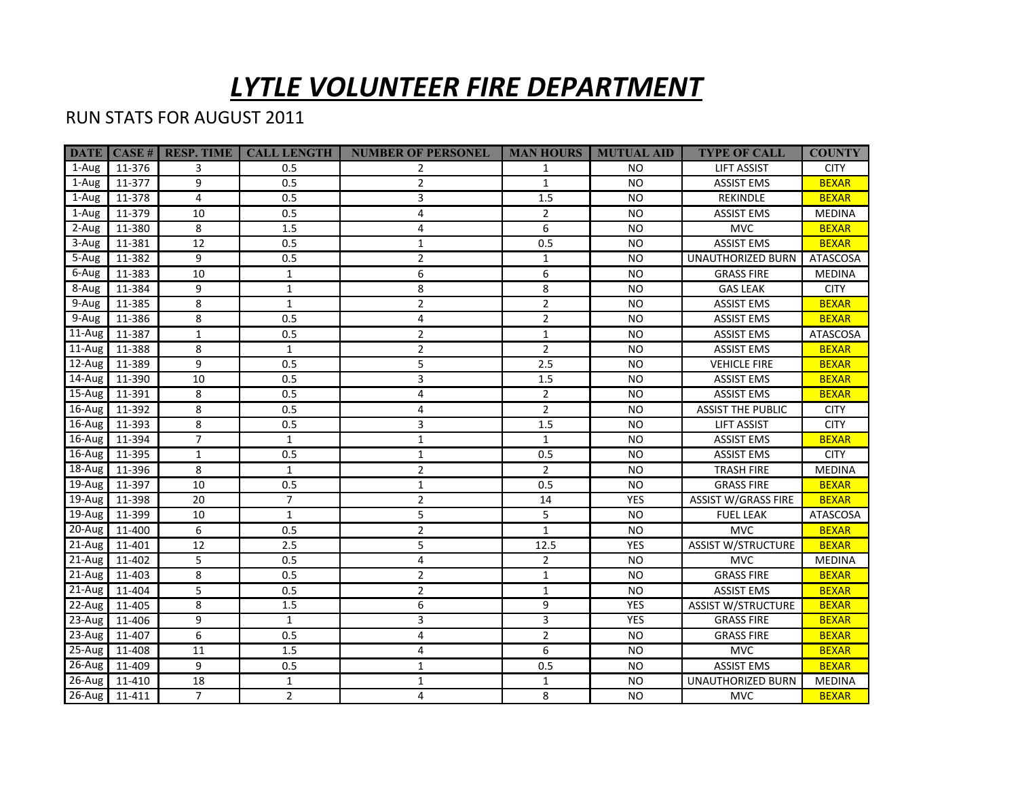## *LYTLE VOLUNTEER FIRE DEPARTMENT*

## RUN STATS FOR AUGUST 2011

|            |                 | <b>DATE   CASE #   RESP. TIME  </b> | <b>CALL LENGTH</b> | <b>NUMBER OF PERSONEL</b> |                | <b>MAN HOURS   MUTUAL AID</b> | <b>TYPE OF CALL</b>        | <b>COUNTY</b> |
|------------|-----------------|-------------------------------------|--------------------|---------------------------|----------------|-------------------------------|----------------------------|---------------|
| 1-Aug      | 11-376          | 3                                   | 0.5                | $\overline{2}$            | $\mathbf{1}$   | NO.                           | <b>LIFT ASSIST</b>         | <b>CITY</b>   |
| 1-Aug      | 11-377          | 9                                   | 0.5                | $\overline{2}$            | $\mathbf{1}$   | <b>NO</b>                     | <b>ASSIST EMS</b>          | <b>BEXAR</b>  |
| 1-Aug      | 11-378          | 4                                   | 0.5                | 3                         | 1.5            | <b>NO</b>                     | REKINDLE                   | <b>BEXAR</b>  |
| 1-Aug      | 11-379          | 10                                  | 0.5                | 4                         | $\overline{2}$ | <b>NO</b>                     | <b>ASSIST EMS</b>          | <b>MEDINA</b> |
| 2-Aug      | 11-380          | 8                                   | 1.5                | 4                         | 6              | <b>NO</b>                     | <b>MVC</b>                 | <b>BEXAR</b>  |
| 3-Aug      | 11-381          | 12                                  | 0.5                | $\mathbf{1}$              | 0.5            | <b>NO</b>                     | <b>ASSIST EMS</b>          | <b>BEXAR</b>  |
| 5-Aug      | 11-382          | 9                                   | 0.5                | $\overline{2}$            | $\mathbf{1}$   | <b>NO</b>                     | <b>UNAUTHORIZED BURN</b>   | ATASCOSA      |
| 6-Aug      | 11-383          | 10                                  | $\mathbf{1}$       | 6                         | 6              | <b>NO</b>                     | <b>GRASS FIRE</b>          | <b>MEDINA</b> |
| 8-Aug      | 11-384          | 9                                   | $\mathbf{1}$       | 8                         | 8              | <b>NO</b>                     | <b>GAS LEAK</b>            | <b>CITY</b>   |
| 9-Aug      | 11-385          | 8                                   | $\mathbf{1}$       | $\overline{2}$            | $\overline{2}$ | <b>NO</b>                     | <b>ASSIST EMS</b>          | <b>BEXAR</b>  |
| 9-Aug      | 11-386          | 8                                   | 0.5                | 4                         | $\overline{2}$ | <b>NO</b>                     | <b>ASSIST EMS</b>          | <b>BEXAR</b>  |
| $11$ -Aug  | 11-387          | $\mathbf{1}$                        | 0.5                | $\overline{2}$            | $\mathbf{1}$   | <b>NO</b>                     | <b>ASSIST EMS</b>          | ATASCOSA      |
| $11$ -Aug  | 11-388          | 8                                   | $\mathbf{1}$       | $\overline{2}$            | $\overline{2}$ | <b>NO</b>                     | <b>ASSIST EMS</b>          | <b>BEXAR</b>  |
| $12$ -Aug  | 11-389          | 9                                   | 0.5                | 5                         | 2.5            | NO.                           | <b>VEHICLE FIRE</b>        | <b>BEXAR</b>  |
| $14$ -Aug  | 11-390          | 10                                  | 0.5                | 3                         | 1.5            | <b>NO</b>                     | <b>ASSIST EMS</b>          | <b>BEXAR</b>  |
| $15$ -Aug  | 11-391          | 8                                   | 0.5                | $\overline{4}$            | $\overline{2}$ | <b>NO</b>                     | <b>ASSIST EMS</b>          | <b>BEXAR</b>  |
| $16$ -Aug  | 11-392          | 8                                   | 0.5                | 4                         | $\overline{2}$ | <b>NO</b>                     | <b>ASSIST THE PUBLIC</b>   | <b>CITY</b>   |
| $16$ -Aug  | 11-393          | 8                                   | 0.5                | 3                         | 1.5            | <b>NO</b>                     | LIFT ASSIST                | <b>CITY</b>   |
| $16$ -Aug  | 11-394          | $\overline{7}$                      | $\mathbf{1}$       | $\mathbf{1}$              | $\mathbf{1}$   | <b>NO</b>                     | <b>ASSIST EMS</b>          | <b>BEXAR</b>  |
| 16-Aug     | 11-395          | $\mathbf{1}$                        | 0.5                | $\mathbf{1}$              | 0.5            | <b>NO</b>                     | <b>ASSIST EMS</b>          | <b>CITY</b>   |
| $18 - Aug$ | 11-396          | 8                                   | $\mathbf{1}$       | $\overline{2}$            | $\overline{2}$ | <b>NO</b>                     | <b>TRASH FIRE</b>          | <b>MEDINA</b> |
| 19-Aug     | 11-397          | 10                                  | 0.5                | $\mathbf{1}$              | 0.5            | <b>NO</b>                     | <b>GRASS FIRE</b>          | <b>BEXAR</b>  |
| $19$ -Aug  | 11-398          | 20                                  | $\overline{7}$     | $\overline{2}$            | 14             | <b>YES</b>                    | <b>ASSIST W/GRASS FIRE</b> | <b>BEXAR</b>  |
| $19$ -Aug  | 11-399          | 10                                  | $\mathbf{1}$       | 5                         | 5              | <b>NO</b>                     | <b>FUEL LEAK</b>           | ATASCOSA      |
| 20-Aug     | 11-400          | 6                                   | 0.5                | 2                         | $\mathbf{1}$   | <b>NO</b>                     | <b>MVC</b>                 | <b>BEXAR</b>  |
| 21-Aug     | 11-401          | 12                                  | 2.5                | 5                         | 12.5           | <b>YES</b>                    | <b>ASSIST W/STRUCTURE</b>  | <b>BEXAR</b>  |
| $21-Au$ g  | 11-402          | 5                                   | 0.5                | 4                         | $\overline{2}$ | <b>NO</b>                     | <b>MVC</b>                 | <b>MEDINA</b> |
| $21-Aug$   | 11-403          | 8                                   | 0.5                | $\overline{2}$            | $\mathbf{1}$   | <b>NO</b>                     | <b>GRASS FIRE</b>          | <b>BEXAR</b>  |
| $21$ -Aug  | 11-404          | 5                                   | 0.5                | 2                         | $\mathbf{1}$   | <b>NO</b>                     | <b>ASSIST EMS</b>          | <b>BEXAR</b>  |
| $22$ -Aug  | 11-405          | 8                                   | 1.5                | 6                         | 9              | YES                           | <b>ASSIST W/STRUCTURE</b>  | <b>BEXAR</b>  |
| $23$ -Aug  | 11-406          | 9                                   | $\mathbf{1}$       | 3                         | 3              | YES                           | <b>GRASS FIRE</b>          | <b>BEXAR</b>  |
| $23$ -Aug  | 11-407          | 6                                   | 0.5                | 4                         | $\overline{2}$ | <b>NO</b>                     | <b>GRASS FIRE</b>          | <b>BEXAR</b>  |
| $25-Aug$   | 11-408          | 11                                  | 1.5                | 4                         | 6              | <b>NO</b>                     | <b>MVC</b>                 | <b>BEXAR</b>  |
| $26$ -Aug  | 11-409          | 9                                   | 0.5                | $\mathbf{1}$              | 0.5            | <b>NO</b>                     | <b>ASSIST EMS</b>          | <b>BEXAR</b>  |
| $26$ -Aug  | 11-410          | 18                                  | $\mathbf{1}$       | $\mathbf{1}$              | $\mathbf{1}$   | <b>NO</b>                     | UNAUTHORIZED BURN          | <b>MEDINA</b> |
|            | 26-Aug   11-411 | $\overline{7}$                      | $2^{\circ}$        | 4                         | 8              | <b>NO</b>                     | <b>MVC</b>                 | <b>BEXAR</b>  |